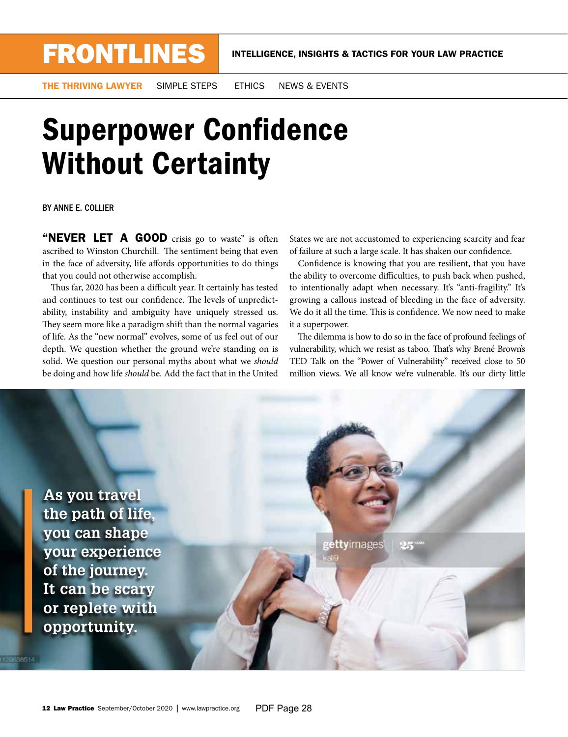THE THRIVING LAWYER SIMPLE STEPS ETHICS NEWS & EVENTS

## **Superpower Confidence** Without Certainty

BY ANNE E. COLLIER

"NEVER LET A GOOD crisis go to waste" is often ascribed to Winston Churchill. The sentiment being that even in the face of adversity, life affords opportunities to do things that you could not otherwise accomplish.

Thus far, 2020 has been a difficult year. It certainly has tested and continues to test our confidence. The levels of unpredictability, instability and ambiguity have uniquely stressed us. They seem more like a paradigm shift than the normal vagaries of life. As the "new normal" evolves, some of us feel out of our depth. We question whether the ground we're standing on is solid. We question our personal myths about what we *should* be doing and how life *should* be. Add the fact that in the United

States we are not accustomed to experiencing scarcity and fear of failure at such a large scale. It has shaken our confdence.

Confdence is knowing that you are resilient, that you have the ability to overcome difficulties, to push back when pushed, to intentionally adapt when necessary. It's "anti-fragility." It's growing a callous instead of bleeding in the face of adversity. We do it all the time. This is confidence. We now need to make it a superpower.

The dilemma is how to do so in the face of profound feelings of vulnerability, which we resist as taboo. That's why Brené Brown's TED Talk on the "Power of Vulnerability" received close to 50 million views. We all know we're vulnerable. It's our dirty little